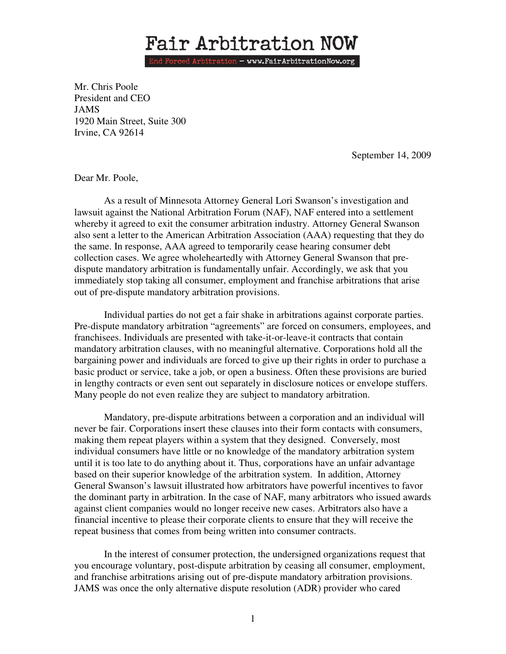## Fair Arbitration NOW

End Forced Arbitration - www.FairArbitrationNow.org

Mr. Chris Poole President and CEO JAMS 1920 Main Street, Suite 300 Irvine, CA 92614

September 14, 2009

Dear Mr. Poole,

 As a result of Minnesota Attorney General Lori Swanson's investigation and lawsuit against the National Arbitration Forum (NAF), NAF entered into a settlement whereby it agreed to exit the consumer arbitration industry. Attorney General Swanson also sent a letter to the American Arbitration Association (AAA) requesting that they do the same. In response, AAA agreed to temporarily cease hearing consumer debt collection cases. We agree wholeheartedly with Attorney General Swanson that predispute mandatory arbitration is fundamentally unfair. Accordingly, we ask that you immediately stop taking all consumer, employment and franchise arbitrations that arise out of pre-dispute mandatory arbitration provisions.

 Individual parties do not get a fair shake in arbitrations against corporate parties. Pre-dispute mandatory arbitration "agreements" are forced on consumers, employees, and franchisees. Individuals are presented with take-it-or-leave-it contracts that contain mandatory arbitration clauses, with no meaningful alternative. Corporations hold all the bargaining power and individuals are forced to give up their rights in order to purchase a basic product or service, take a job, or open a business. Often these provisions are buried in lengthy contracts or even sent out separately in disclosure notices or envelope stuffers. Many people do not even realize they are subject to mandatory arbitration.

 Mandatory, pre-dispute arbitrations between a corporation and an individual will never be fair. Corporations insert these clauses into their form contacts with consumers, making them repeat players within a system that they designed. Conversely, most individual consumers have little or no knowledge of the mandatory arbitration system until it is too late to do anything about it. Thus, corporations have an unfair advantage based on their superior knowledge of the arbitration system. In addition, Attorney General Swanson's lawsuit illustrated how arbitrators have powerful incentives to favor the dominant party in arbitration. In the case of NAF, many arbitrators who issued awards against client companies would no longer receive new cases. Arbitrators also have a financial incentive to please their corporate clients to ensure that they will receive the repeat business that comes from being written into consumer contracts.

In the interest of consumer protection, the undersigned organizations request that you encourage voluntary, post-dispute arbitration by ceasing all consumer, employment, and franchise arbitrations arising out of pre-dispute mandatory arbitration provisions. JAMS was once the only alternative dispute resolution (ADR) provider who cared